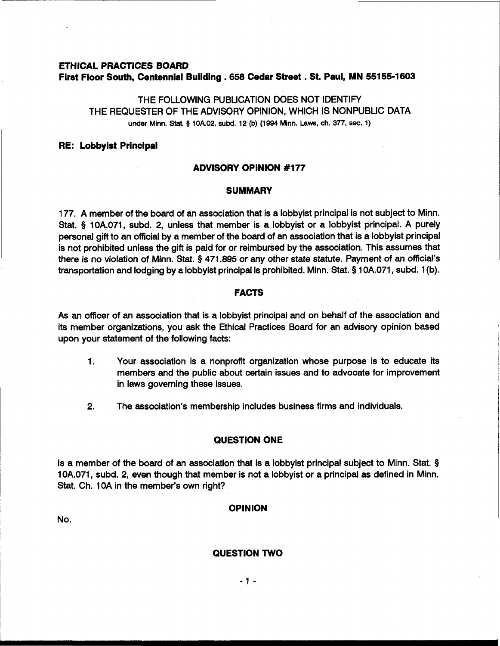# **ETHICAL PRACTICES BOARD First Floor South, Centennial Building .658 Cedar Street** . **St. Paul, MN 55155-1603**

THE FOLLOWING PUBLICATION DOES NOT IDENTIFY THE REQUESTER OF THE ADVISORY OPINION, WHICH IS NONPUBLIC DATA **under** Minn. Stat. **3 10A.02, subd. 12 (b) (1994** Minn. **Laws, ch.** 377, **sec. 1)** 

# **RE: Lobbyist Principal**

### **ADVISORY OPINION #I77**

### **SUMMARY**

177. A member of the board of an association that is a lobbyist principal is not subject to Minn. Stat. § 10A.071, subd. 2, unless that member is a lobbyist or a lobbyist principal. A purely personal gift to an official by a member of the board of an association that is a lobbyist principal is not prohibited unless the gift is paid for or reimbursed by the association. This assumes that there is no violation of Minn. Stat. **9** 471.895 or any other state statute. Payment of an official's transportation and lodging by a lobbyist principal is prohibited. Minn. Stat. § 10A.071, subd. 1 (b).

### **FACTS**

As an officer of an association that is a lobbyist principal and on behalf of the association and its member organizations, you ask the Ethical Practices Board for an advisory opinion based upon your statement of the following facts:

- 1. Your association is a nonprofit organization whose purpose is to educate its members and the public about certain issues and to advocate for improvement in laws governing these issues.
- **2.** The association's membership includes business firms and individuals.

#### **QUESTION ONE**

Is a member of the board of an association that is a lobbyist principal subject to Minn. Stat. § 10A.071, subd. 2, even though that member is not a lobbyist or a principal as defined in Minn. Stat. Ch. 10A in the member's own right?

#### **OPINION**

No.

# **QUESTION TWO**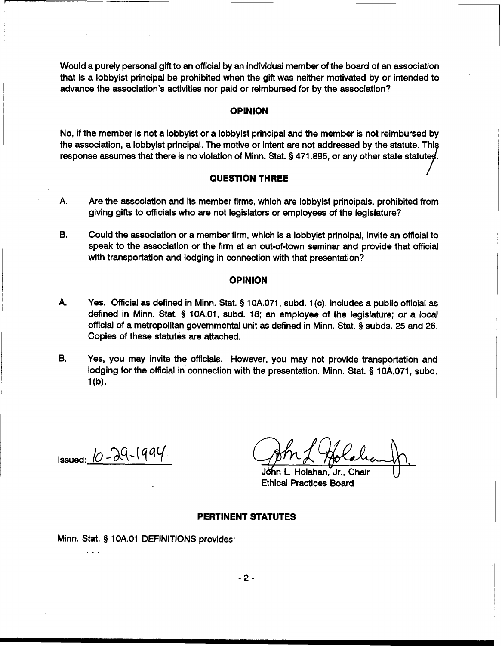Would a purely personal gift to an official by an individual member of the board of an association that is a lobbyist principal be prohibited when the gift was neither motivated by or intended to advance the association's activities nor paid or reimbursed for by the association?

# **OPINION**

No, if the member is not a lobbyist or a lobbyist principal and the member is not reimbursed by the association, a lobbyist principal. The motive or intent are not addressed by the statute. Thi response assumes that there is no violation of Minn. Stat. § 471.895, or any other state statutes.

# **QUESTION THREE <sup>I</sup>**

- A. Are the association and its member firms, which are lobbyist principals, prohibited from giving gifts to officials who are not legislators or employees of the legislature?
- **B.** Could the association or a member firm, which is a lobbyist principal, invite an official to speak to the association or the firm at an out-of-town seminar and provide that official with transportation and lodging in connection with that presentation?

# **OPINION**

A. Yes. Official as defined in Minn. Stat. **5** 10A.071, subd. 1 (c), includes a public official as defined in Minn. Stat. § 10A.01, subd. 18; an employee of the legislature; or a local official of a metropolitan governmental unit as defined in Minn. Stat. § subds. 25 and 26. Copies of these statutes are attached.

**B.** Yes, you may invite the officials. However, you may not provide transportation and lodging for the official in connection with the presentation. Minn. Stat. § 10A.071, subd.  $1(b)$ .

Issued:  $\omega$ - $\lambda$ 9- $\sqrt{9}$ - $\sqrt{9}$ 

. . .

Holahan, Jr., Chair Ethical Practices Board

#### **PERTINENT STATUTES**

Minn. Stat. § 1 OA.O1 DEFINITIONS provides:

 $-2-$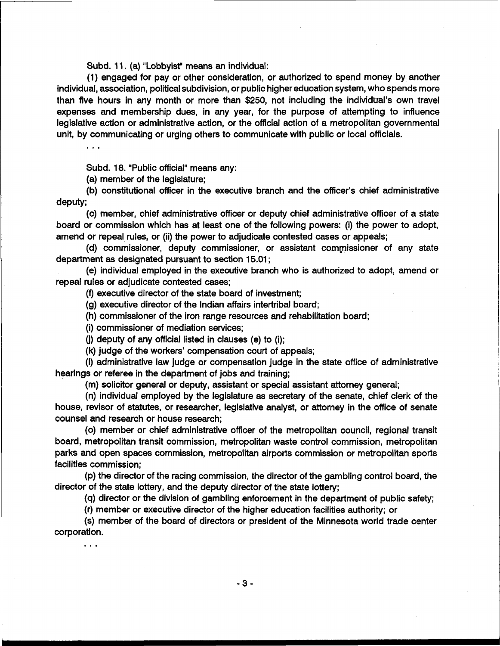Subd. 11. (a) "Lobbyist" means an individual:

(1) engaged for pay or other consideration, or authorized to spend money by another individual, association, political subdivision, or public higher education system, who spends more than five hours in any month or more than \$250, not including the individual's own travel expenses and membership dues, in any year, for the purpose of attempting to influence legislative action or administrative action, or the official action of a metropolitan governmental unit, by communicating or urging others to communicate with public or local officials.

Subd. 18. "Public official" means any:

(a) member of the legislature;

(b) constitutional officer in the executive branch and the officer's chief administrative deputy;

(c) member, chief administrative officer or deputy chief administrative officer of a state board or commission which has at least one of the following powers: (i) the power to adopt, amend or repeal rules, or (ii) the power to adjudicate contested cases or appeals;

(d) commissioner, deputy commissioner, or assistant compissioner of any state department as designated pursuant to section 15.01 ;

(e) individual employed in the executive branch who is authorized to adopt, amend or repeal rules or adjudicate contested cases;

(9 executive director of the state board of investment;

(g) executive director of the Indian affairs intertribal board;

(h) commissioner of the iron range resources and rehabilitation board;

(i) commissioner of mediation services;

**(j)** deputy of any official listed in clauses (e) to (i);

(k) judge of the workers' compensation court of appeals;

(I) administrative law judge or compensation judge in the state office of administrative hearings or referee in the department of jobs and training;

(m) solicitor general or deputy, assistant or special assistant attorney general;

(n) individual employed by the legislature as secretary of the senate, chief clerk of the house, revisor of statutes, or researcher, legislative analyst, or attorney in the office of senate counsel and research or house research;

(0) member or chief administrative officer of the metropolitan council, regional transit board, metropolitan transit commission, metropolitan waste control commission, metropolitan parks and open spaces commission, metropolitan airports commission or metropolitan sports facilities commission;

(p) the director of the racing commission, the director of the gambling control board, the director of the state lottery, and the deputy director of the state lottery;

(q) director or the division of gambling enforcement in the department of public safety;

(r) member or executive director of the higher education facilities authority; or

(s) member of the board of directors or president of the Minnesota world trade center corporation.

 $\sim$   $\sim$   $\sim$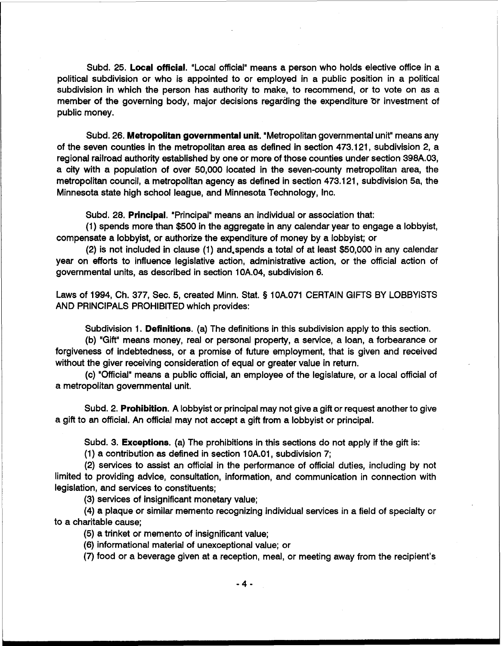Subd. 25. **Local official.** "Local official" means a person who holds elective office in a political subdivision or who is appointed to or employed in a public position in a political subdivision in which the person has authority to make, to recommend, or to vote on as a member of the governing body, major decisions regarding the expenditure **Dr** investment of public money.

Subd. 26. **Metropolitan governmental unit.** "Metropolitan governmental unit" means any of the seven counties in the metropolitan area as defined in section 473.121, subdivision 2, a regional railroad authority established by one or more of those counties under section 398A.03, a city with a population of over 50,000 located in the seven-county metropolitan area, the metropolitan council, a metropolitan agency as defined in section 473.121, subdivision 5a, the Minnesota state high school league, and Minnesota Technology, Inc.

Subd. 28. **Principal.** "Principal" means an individual or association that:

(1) spends more than \$500 in the aggregate in any calendar year to engage a lobbyist, compensate a lobbyist, or authorize the expenditure of money by a lobbyist; or

(2) is not included in clause (1) and,spends a total of at least \$50,000 in any calendar year on efforts to influence legislative action, administrative action, or the official action of governmental units, as described in section 10A.04, subdivision 6.

Laws of 1994, Ch. 377, Sec. 5, created Minn. Stat. **5** 10A.071 CERTAIN GIFTS BY LOBBYISTS AND PRINCIPALS PROHIBITED which provides:

Subdivision 1. **Definitions.** (a) The definitions in this subdivision apply to this section.

(b) "Gift" means money, real or personal property, a service, a loan, a forbearance or forgiveness of indebtedness, or a promise of future employment, that is given and received without the giver receiving consideration of equal or greater value in return.

(c) "Official" means a public official, an employee of the legislature, or a local official of a metropolitan governmental unit.

Subd. 2. **Prohibition.** A lobbyist or principal may not give a gift or request another to give a gift to an official. An official may not accept a gift from a lobbyist or principal.

Subd. 3. **Exceptions.** (a) The prohibitions in this sections do not apply if the gift **is:** 

(1) a contribution as defined in section 10A.01, subdivision 7;

(2) services to assist an official in the performance of official duties, including by not limited to providing advice, consultation, information, and communication in connection with legislation, and services to constituents;

(3) services of insignificant monetary value;

(4) a plaque or similar memento recognizing individual services in a field of specialty or to a charitable cause;

(5) a trinket or memento of insignificant value;

(6) informational material of unexceptional value; or

(7) food or a beverage given at a reception, meal, or meeting away from the recipient's